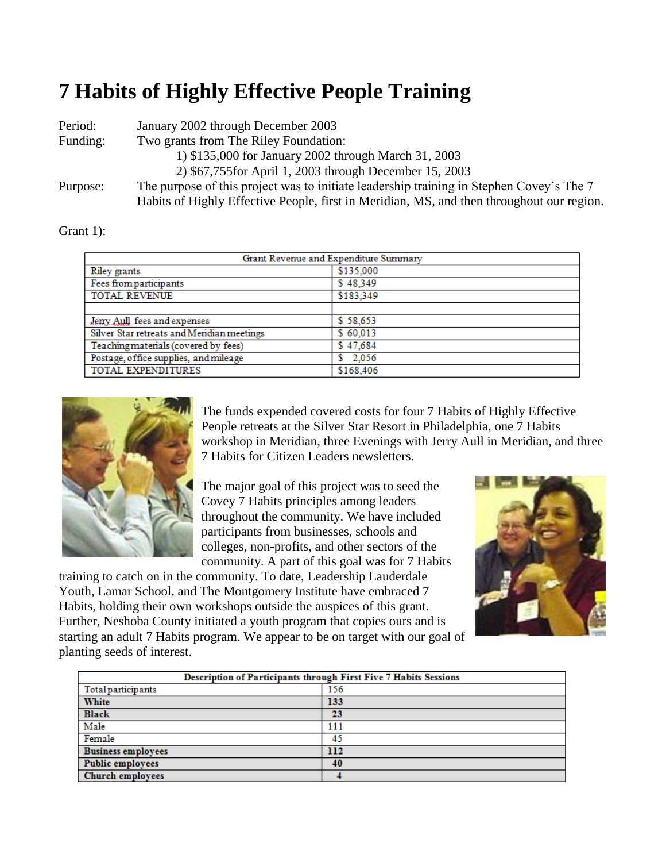## **7 Habits of Highly Effective People Training**

| Period:  | January 2002 through December 2003                                                        |
|----------|-------------------------------------------------------------------------------------------|
| Funding: | Two grants from The Riley Foundation:                                                     |
|          | 1) \$135,000 for January 2002 through March 31, 2003                                      |
|          | 2) \$67,755 for April 1, 2003 through December 15, 2003                                   |
| Purpose: | The purpose of this project was to initiate leadership training in Stephen Covey's The 7  |
|          | Habits of Highly Effective People, first in Meridian, MS, and then throughout our region. |

Grant 1):

| Grant Revenue and Expenditure Summary      |           |  |
|--------------------------------------------|-----------|--|
| Riley grants                               | \$135,000 |  |
| Fees from participants                     | \$48.349  |  |
| <b>TOTAL REVENUE</b>                       | \$183,349 |  |
|                                            |           |  |
| Jeny Aull fees and expenses                | \$58.653  |  |
| Silver Star retreats and Meridian meetings | \$60,013  |  |
| Teaching materials (covered by fees)       | \$47,684  |  |
| Postage, office supplies, and mileage      | 2,056     |  |
| TOTAL EXPENDITURES                         | \$168,406 |  |



The funds expended covered costs for four 7 Habits of Highly Effective People retreats at the Silver Star Resort in Philadelphia, one 7 Habits workshop in Meridian, three Evenings with Jerry Aull in Meridian, and three 7 Habits for Citizen Leaders newsletters.

The major goal of this project was to seed the Covey 7 Habits principles among leaders throughout the community. We have included participants from businesses, schools and colleges, non-profits, and other sectors of the community. A part of this goal was for 7 Habits

training to catch on in the community. To date, Leadership Lauderdale Youth, Lamar School, and The Montgomery Institute have embraced 7 Habits, holding their own workshops outside the auspices of this grant. Further, Neshoba County initiated a youth program that copies ours and is starting an adult 7 Habits program. We appear to be on target with our goal of planting seeds of interest.



| Description of Participants through First Five 7 Habits Sessions |     |  |  |
|------------------------------------------------------------------|-----|--|--|
| Total participants                                               | 156 |  |  |
| <b>White</b>                                                     | 133 |  |  |
| <b>Black</b>                                                     | 23  |  |  |
| Male                                                             | 111 |  |  |
| Female                                                           | 45  |  |  |
| <b>Business employees</b>                                        | 112 |  |  |
| <b>Public employees</b>                                          | 40  |  |  |
| <b>Church employees</b>                                          |     |  |  |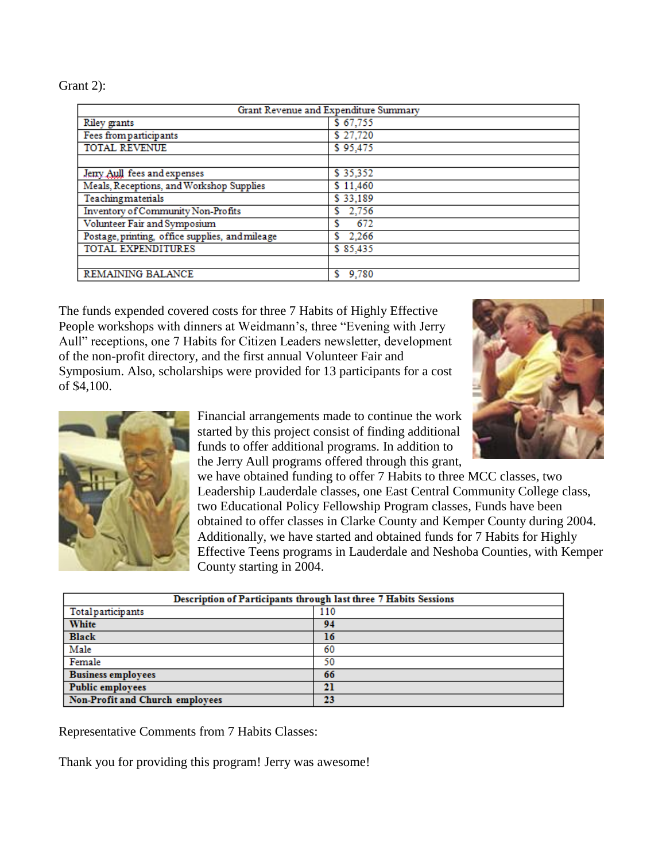Grant 2):

| Grant Revenue and Expenditure Summary           |            |  |  |
|-------------------------------------------------|------------|--|--|
| <b>Riley</b> grants                             | \$67,755   |  |  |
| Fees from participants                          | \$27,720   |  |  |
| <b>TOTAL REVENUE</b>                            | \$95,475   |  |  |
|                                                 |            |  |  |
| Jeny Aull fees and expenses                     | \$35,352   |  |  |
| Meals, Receptions, and Workshop Supplies        | \$11,460   |  |  |
| Teachingmaterials                               | \$33,189   |  |  |
| Inventory of Community Non-Profits              | 2,756      |  |  |
| Volunteer Fair and Symposium                    | 672        |  |  |
| Postage, printing, office supplies, and mileage | 2.266      |  |  |
| TOTAL EXPENDITURES                              | \$85,435   |  |  |
|                                                 |            |  |  |
| REMAINING BALANCE                               | 9,780<br>s |  |  |

The funds expended covered costs for three 7 Habits of Highly Effective People workshops with dinners at Weidmann's, three "Evening with Jerry Aull" receptions, one 7 Habits for Citizen Leaders newsletter, development of the non-profit directory, and the first annual Volunteer Fair and Symposium. Also, scholarships were provided for 13 participants for a cost of \$4,100.



Financial arrangements made to continue the work started by this project consist of finding additional funds to offer additional programs. In addition to the Jerry Aull programs offered through this grant,

we have obtained funding to offer 7 Habits to three MCC classes, two Leadership Lauderdale classes, one East Central Community College class, two Educational Policy Fellowship Program classes, Funds have been obtained to offer classes in Clarke County and Kemper County during 2004. Additionally, we have started and obtained funds for 7 Habits for Highly Effective Teens programs in Lauderdale and Neshoba Counties, with Kemper County starting in 2004.

| Description of Participants through last three 7 Habits Sessions |     |  |  |
|------------------------------------------------------------------|-----|--|--|
| Total participants                                               | 110 |  |  |
| <b>White</b>                                                     | 94  |  |  |
| <b>Black</b>                                                     | 16  |  |  |
| Male                                                             | 60  |  |  |
| Female                                                           | 50  |  |  |
| <b>Business employees</b>                                        | 66  |  |  |
| <b>Public employees</b>                                          | 21  |  |  |
| Non-Profit and Church employees                                  | 23  |  |  |

Representative Comments from 7 Habits Classes:

Thank you for providing this program! Jerry was awesome!

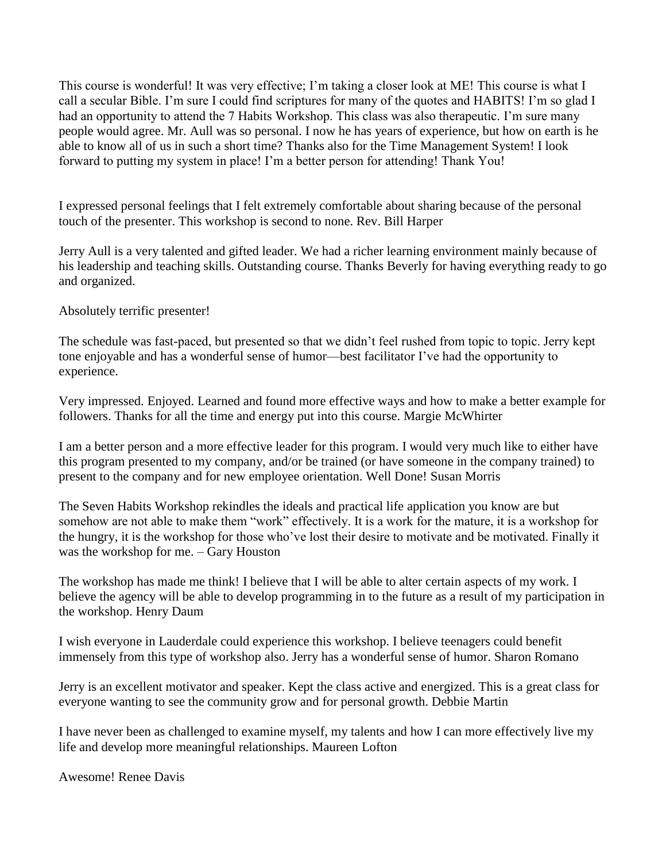This course is wonderful! It was very effective; I'm taking a closer look at ME! This course is what I call a secular Bible. I'm sure I could find scriptures for many of the quotes and HABITS! I'm so glad I had an opportunity to attend the 7 Habits Workshop. This class was also therapeutic. I'm sure many people would agree. Mr. Aull was so personal. I now he has years of experience, but how on earth is he able to know all of us in such a short time? Thanks also for the Time Management System! I look forward to putting my system in place! I'm a better person for attending! Thank You!

I expressed personal feelings that I felt extremely comfortable about sharing because of the personal touch of the presenter. This workshop is second to none. Rev. Bill Harper

Jerry Aull is a very talented and gifted leader. We had a richer learning environment mainly because of his leadership and teaching skills. Outstanding course. Thanks Beverly for having everything ready to go and organized.

Absolutely terrific presenter!

The schedule was fast-paced, but presented so that we didn't feel rushed from topic to topic. Jerry kept tone enjoyable and has a wonderful sense of humor—best facilitator I've had the opportunity to experience.

Very impressed. Enjoyed. Learned and found more effective ways and how to make a better example for followers. Thanks for all the time and energy put into this course. Margie McWhirter

I am a better person and a more effective leader for this program. I would very much like to either have this program presented to my company, and/or be trained (or have someone in the company trained) to present to the company and for new employee orientation. Well Done! Susan Morris

The Seven Habits Workshop rekindles the ideals and practical life application you know are but somehow are not able to make them "work" effectively. It is a work for the mature, it is a workshop for the hungry, it is the workshop for those who've lost their desire to motivate and be motivated. Finally it was the workshop for me. – Gary Houston

The workshop has made me think! I believe that I will be able to alter certain aspects of my work. I believe the agency will be able to develop programming in to the future as a result of my participation in the workshop. Henry Daum

I wish everyone in Lauderdale could experience this workshop. I believe teenagers could benefit immensely from this type of workshop also. Jerry has a wonderful sense of humor. Sharon Romano

Jerry is an excellent motivator and speaker. Kept the class active and energized. This is a great class for everyone wanting to see the community grow and for personal growth. Debbie Martin

I have never been as challenged to examine myself, my talents and how I can more effectively live my life and develop more meaningful relationships. Maureen Lofton

Awesome! Renee Davis